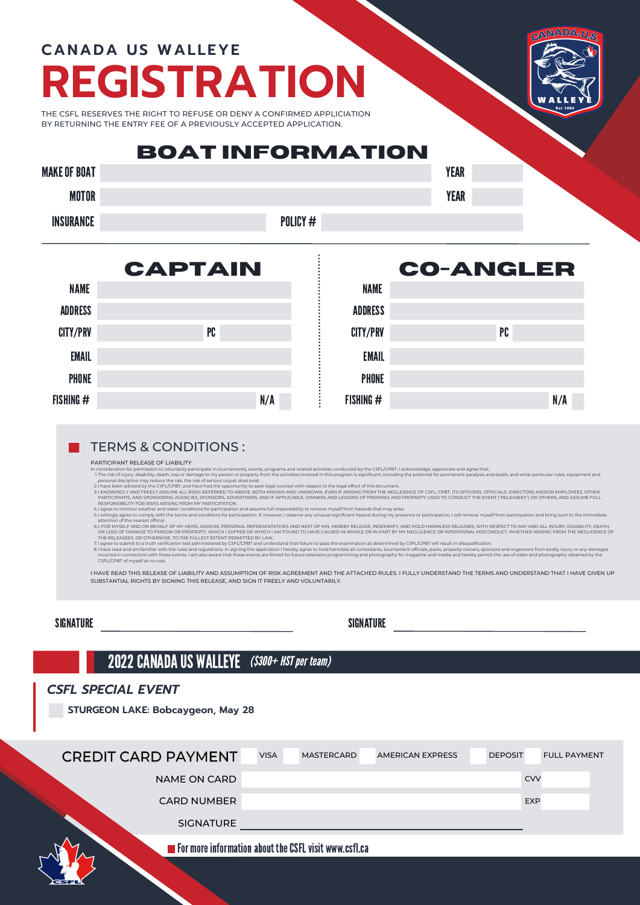### **REGISTRATION CANADA US WALLEYE**

CANADA-U.S

THE CSFL RESERVES THE RIGHT TO REFUSE OR DENY A CONFIRMED APPLICIATION BY RETURNING THE ENTRY FEE OF A PREVIOUSLY ACCEPTED APPLICATION.

#### MAKE OF BOAT **YEAR BOAT INFORMATION**

| ANL UI BUAI      |          | TEAK |
|------------------|----------|------|
| <b>MOTOR</b>     |          | EAR  |
| <b>INSURANCE</b> | POLICY # |      |



# **CO-ANGLER**

| <b>ADDRESS</b>  |    |     |  |
|-----------------|----|-----|--|
| <b>CITY/PRV</b> | PC |     |  |
| <b>EMAIL</b>    |    |     |  |
| <b>PHONE</b>    |    |     |  |
| FISHING #       |    | N/A |  |

#### TERMS & CONDITIONS :

PARTICIPANT RELEASE OF LIABILITY

The risk of injury, disability, death, loss or damage to my person or property from the activities involved in this program is significant, including the potential for permanent paralysis and death, and while particular ru In consideration for permission to voluntarily participate in tournaments, events, programs and related by the<br>In the risk of injury, disability, death, loss or danage to my person or property from the activities in which

personal discipline may reduce the risk, the risk of serious unjust does exist.

l have been advised by the CSFL/CPBT, and have had the opportunity to seek legal counsel with respect to the legal effect of this document.<br>I KNOWINCLY AND FREELY ASSUME ALL RISKS REFERRED TO ABOVE, BOTH KNOWN AND UNKNOWN, 2. 3.

NAME

4. 5.

6.

I, FOR MYSELF AND ON BEHALF OF MY HEIRS, ASSIGNS, PERSONAL REPRESENTATIVES AND NEXT OF KIN, HEREBY NELLEASE, MDEN HAP MY MEGALMICHION CONSIDENT OANY AND ALL INJURY, DISABILITY, DEATH, INJURY, DISABILITY, DEATH, INJURY, DIS 7. I<br>8. I

I HAVE READ THIS RELEASE OF LIABILITY AND ASSUMPTION OF RISK AGREEMENT AND THE ATTACHED RULES. I FULLY UNDERSTAND THE TERMS AND UNDERSTAND THAT I HAVE GIVEN UP SUBSTANTIAL RIGHTS BY SIGNING THIS RELEASE, AND SIGN IT FREELY AND VOLUNTARILY.

SIGNATURE SIGNATURE

### 2022 CANADA US WALLEYE (\$300+ HST per team)

#### *CSFL SPECIAL EVENT*

**STURGEON LAKE: Bobcaygeon, May 28**

| <b>CREDIT CARD PAYMENT</b> | <b>VISA</b> | <b>MASTERCARD</b>                                                    | <b>AMERICAN EXPRESS</b> | <b>DEPOSIT</b> | <b>FULL PAYMENT</b> |
|----------------------------|-------------|----------------------------------------------------------------------|-------------------------|----------------|---------------------|
| <b>NAME ON CARD</b>        |             |                                                                      |                         | <b>CVV</b>     |                     |
| <b>CARD NUMBER</b>         |             |                                                                      |                         | <b>EXP</b>     |                     |
| <b>SIGNATURE</b>           |             |                                                                      |                         |                |                     |
|                            |             | $\blacksquare$ For more information about the CSFL visit www.csfl.ca |                         |                |                     |